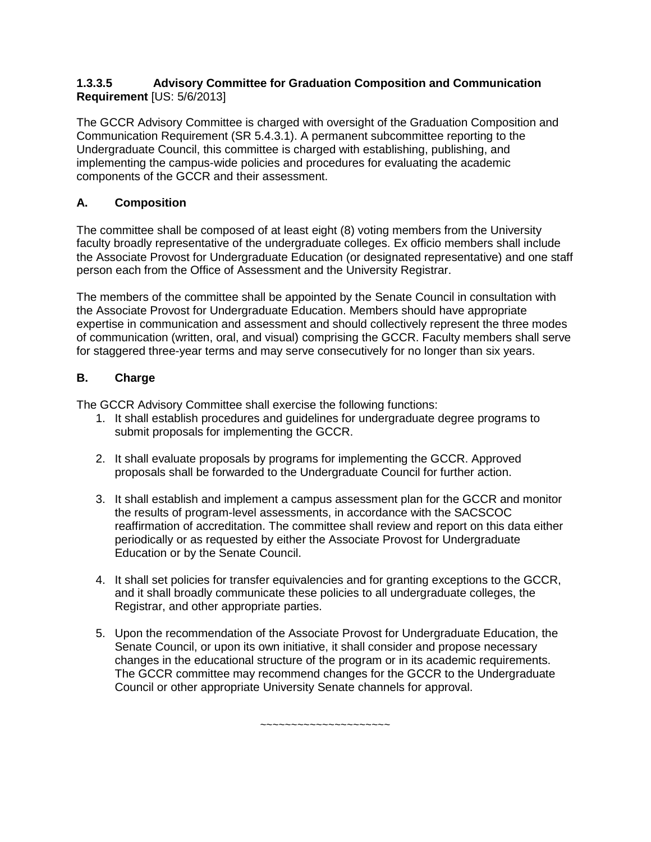#### **1.3.3.5 Advisory Committee for Graduation Composition and Communication Requirement** [US: 5/6/2013]

The GCCR Advisory Committee is charged with oversight of the Graduation Composition and Communication Requirement (SR 5.4.3.1). A permanent subcommittee reporting to the Undergraduate Council, this committee is charged with establishing, publishing, and implementing the campus-wide policies and procedures for evaluating the academic components of the GCCR and their assessment.

# **A. Composition**

The committee shall be composed of at least eight (8) voting members from the University faculty broadly representative of the undergraduate colleges. Ex officio members shall include the Associate Provost for Undergraduate Education (or designated representative) and one staff person each from the Office of Assessment and the University Registrar.

The members of the committee shall be appointed by the Senate Council in consultation with the Associate Provost for Undergraduate Education. Members should have appropriate expertise in communication and assessment and should collectively represent the three modes of communication (written, oral, and visual) comprising the GCCR. Faculty members shall serve for staggered three-year terms and may serve consecutively for no longer than six years.

## **B. Charge**

The GCCR Advisory Committee shall exercise the following functions:

- 1. It shall establish procedures and guidelines for undergraduate degree programs to submit proposals for implementing the GCCR.
- 2. It shall evaluate proposals by programs for implementing the GCCR. Approved proposals shall be forwarded to the Undergraduate Council for further action.
- 3. It shall establish and implement a campus assessment plan for the GCCR and monitor the results of program-level assessments, in accordance with the SACSCOC reaffirmation of accreditation. The committee shall review and report on this data either periodically or as requested by either the Associate Provost for Undergraduate Education or by the Senate Council.
- 4. It shall set policies for transfer equivalencies and for granting exceptions to the GCCR, and it shall broadly communicate these policies to all undergraduate colleges, the Registrar, and other appropriate parties.
- 5. Upon the recommendation of the Associate Provost for Undergraduate Education, the Senate Council, or upon its own initiative, it shall consider and propose necessary changes in the educational structure of the program or in its academic requirements. The GCCR committee may recommend changes for the GCCR to the Undergraduate Council or other appropriate University Senate channels for approval.

~~~~~~~~~~~~~~~~~~~~~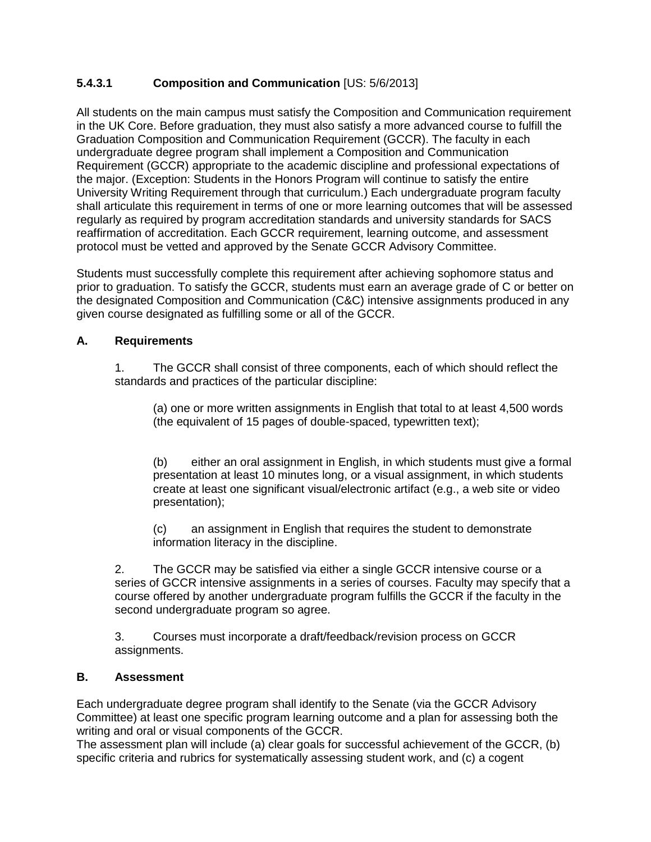## **5.4.3.1 Composition and Communication** [US: 5/6/2013]

All students on the main campus must satisfy the Composition and Communication requirement in the UK Core. Before graduation, they must also satisfy a more advanced course to fulfill the Graduation Composition and Communication Requirement (GCCR). The faculty in each undergraduate degree program shall implement a Composition and Communication Requirement (GCCR) appropriate to the academic discipline and professional expectations of the major. (Exception: Students in the Honors Program will continue to satisfy the entire University Writing Requirement through that curriculum.) Each undergraduate program faculty shall articulate this requirement in terms of one or more learning outcomes that will be assessed regularly as required by program accreditation standards and university standards for SACS reaffirmation of accreditation. Each GCCR requirement, learning outcome, and assessment protocol must be vetted and approved by the Senate GCCR Advisory Committee.

Students must successfully complete this requirement after achieving sophomore status and prior to graduation. To satisfy the GCCR, students must earn an average grade of C or better on the designated Composition and Communication (C&C) intensive assignments produced in any given course designated as fulfilling some or all of the GCCR.

#### **A. Requirements**

1. The GCCR shall consist of three components, each of which should reflect the standards and practices of the particular discipline:

(a) one or more written assignments in English that total to at least 4,500 words (the equivalent of 15 pages of double-spaced, typewritten text);

(b) either an oral assignment in English, in which students must give a formal presentation at least 10 minutes long, or a visual assignment, in which students create at least one significant visual/electronic artifact (e.g., a web site or video presentation);

(c) an assignment in English that requires the student to demonstrate information literacy in the discipline.

2. The GCCR may be satisfied via either a single GCCR intensive course or a series of GCCR intensive assignments in a series of courses. Faculty may specify that a course offered by another undergraduate program fulfills the GCCR if the faculty in the second undergraduate program so agree.

3. Courses must incorporate a draft/feedback/revision process on GCCR assignments.

#### **B. Assessment**

Each undergraduate degree program shall identify to the Senate (via the GCCR Advisory Committee) at least one specific program learning outcome and a plan for assessing both the writing and oral or visual components of the GCCR.

The assessment plan will include (a) clear goals for successful achievement of the GCCR, (b) specific criteria and rubrics for systematically assessing student work, and (c) a cogent